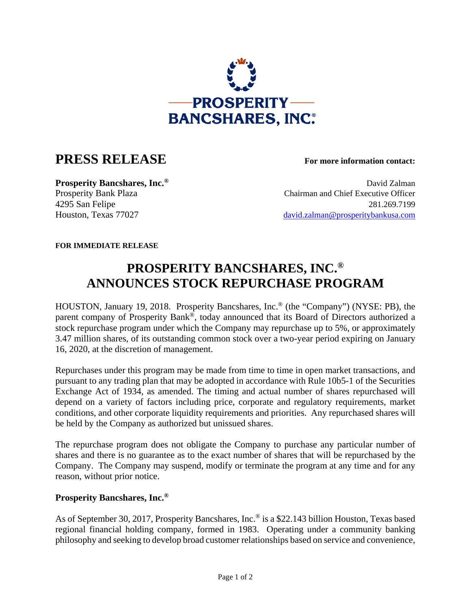

## **PRESS RELEASE For more information contact:**

**Prosperity Bancshares, Inc.<sup>®</sup> David Zalman** Prosperity Bank Plaza Chairman and Chief Executive Officer 4295 San Felipe 281.269.7199 Houston, Texas 77027 david.zalman@prosperitybankusa.com

**FOR IMMEDIATE RELEASE**

## **PROSPERITY BANCSHARES, INC.® ANNOUNCES STOCK REPURCHASE PROGRAM**

HOUSTON, January 19, 2018. Prosperity Bancshares, Inc.® (the "Company") (NYSE: PB), the parent company of Prosperity Bank®, today announced that its Board of Directors authorized a stock repurchase program under which the Company may repurchase up to 5%, or approximately 3.47 million shares, of its outstanding common stock over a two-year period expiring on January 16, 2020, at the discretion of management.

Repurchases under this program may be made from time to time in open market transactions, and pursuant to any trading plan that may be adopted in accordance with Rule 10b5-1 of the Securities Exchange Act of 1934, as amended. The timing and actual number of shares repurchased will depend on a variety of factors including price, corporate and regulatory requirements, market conditions, and other corporate liquidity requirements and priorities. Any repurchased shares will be held by the Company as authorized but unissued shares.

The repurchase program does not obligate the Company to purchase any particular number of shares and there is no guarantee as to the exact number of shares that will be repurchased by the Company. The Company may suspend, modify or terminate the program at any time and for any reason, without prior notice.

## **Prosperity Bancshares, Inc.®**

As of September 30, 2017, Prosperity Bancshares, Inc.<sup>®</sup> is a \$22.143 billion Houston, Texas based regional financial holding company, formed in 1983. Operating under a community banking philosophy and seeking to develop broad customer relationships based on service and convenience,